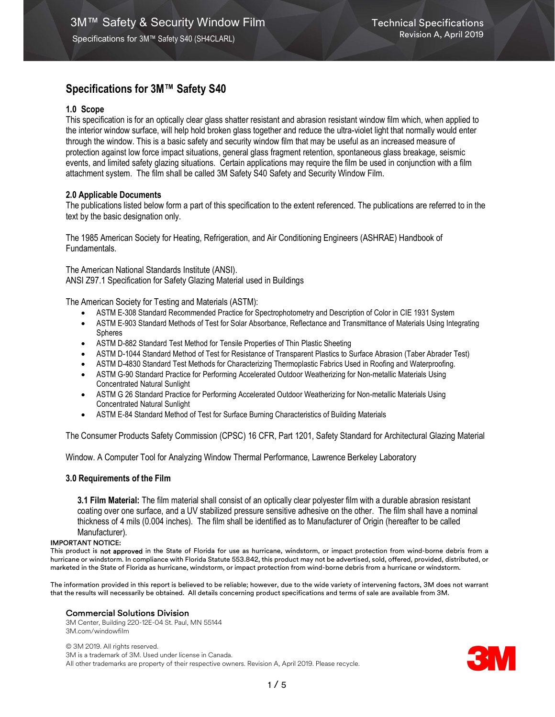# Specifications for 3M™ Safety S40

## 1.0 Scope

This specification is for an optically clear glass shatter resistant and abrasion resistant window film which, when applied to the interior window surface, will help hold broken glass together and reduce the ultra-violet light that normally would enter through the window. This is a basic safety and security window film that may be useful as an increased measure of protection against low force impact situations, general glass fragment retention, spontaneous glass breakage, seismic events, and limited safety glazing situations. Certain applications may require the film be used in conjunction with a film attachment system. The film shall be called 3M Safety S40 Safety and Security Window Film.

## 2.0 Applicable Documents

The publications listed below form a part of this specification to the extent referenced. The publications are referred to in the text by the basic designation only.

The 1985 American Society for Heating, Refrigeration, and Air Conditioning Engineers (ASHRAE) Handbook of Fundamentals.

The American National Standards Institute (ANSI). ANSI Z97.1 Specification for Safety Glazing Material used in Buildings

The American Society for Testing and Materials (ASTM):

- ASTM E-308 Standard Recommended Practice for Spectrophotometry and Description of Color in CIE 1931 System
- ASTM E-903 Standard Methods of Test for Solar Absorbance, Reflectance and Transmittance of Materials Using Integrating Spheres
- ASTM D-882 Standard Test Method for Tensile Properties of Thin Plastic Sheeting
- ASTM D-1044 Standard Method of Test for Resistance of Transparent Plastics to Surface Abrasion (Taber Abrader Test)
- ASTM D-4830 Standard Test Methods for Characterizing Thermoplastic Fabrics Used in Roofing and Waterproofing.
- ASTM G-90 Standard Practice for Performing Accelerated Outdoor Weatherizing for Non-metallic Materials Using Concentrated Natural Sunlight
- ASTM G 26 Standard Practice for Performing Accelerated Outdoor Weatherizing for Non-metallic Materials Using Concentrated Natural Sunlight
- ASTM E-84 Standard Method of Test for Surface Burning Characteristics of Building Materials

The Consumer Products Safety Commission (CPSC) 16 CFR, Part 1201, Safety Standard for Architectural Glazing Material

Window. A Computer Tool for Analyzing Window Thermal Performance, Lawrence Berkeley Laboratory

## 3.0 Requirements of the Film

3.1 Film Material: The film material shall consist of an optically clear polyester film with a durable abrasion resistant coating over one surface, and a UV stabilized pressure sensitive adhesive on the other. The film shall have a nominal thickness of 4 mils (0.004 inches). The film shall be identified as to Manufacturer of Origin (hereafter to be called Manufacturer).

### IMPORTANT NOTICE:

This product is not approved in the State of Florida for use as hurricane, windstorm, or impact protection from wind-borne debris from a hurricane or windstorm. In compliance with Florida Statute 553.842, this product may not be advertised, sold, offered, provided, distributed, or marketed in the State of Florida as hurricane, windstorm, or impact protection from wind-borne debris from a hurricane or windstorm.

The information provided in this report is believed to be reliable; however, due to the wide variety of intervening factors, 3M does not warrant that the results will necessarily be obtained. All details concerning product specifications and terms of sale are available from 3M.

### Commercial Solutions Division

3M Center, Building 220-12E-04 St. Paul, MN 55144 3M.com/windowfilm

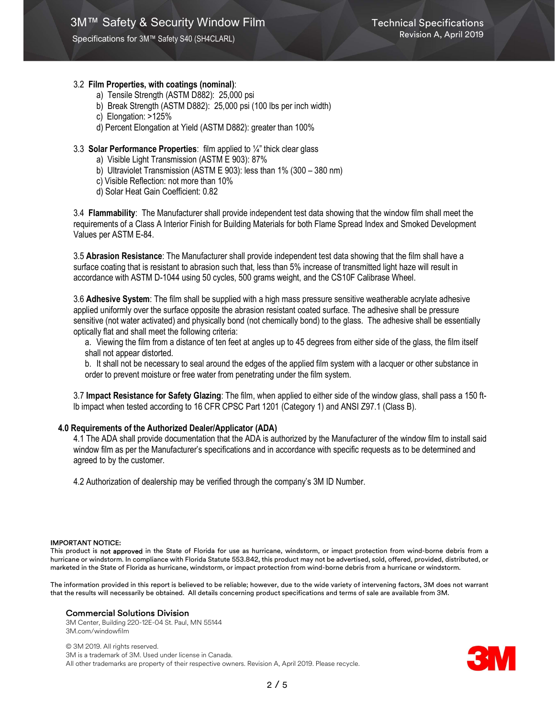Specifications for 3M™ Safety S40 (SH4CLARL)

## 3.2 Film Properties, with coatings (nominal):

- a) Tensile Strength (ASTM D882): 25,000 psi
- b) Break Strength (ASTM D882): 25,000 psi (100 lbs per inch width)
- c) Elongation: >125%
- d) Percent Elongation at Yield (ASTM D882): greater than 100%

## 3.3 Solar Performance Properties: film applied to ¼" thick clear glass

- a) Visible Light Transmission (ASTM E 903): 87%
- b) Ultraviolet Transmission (ASTM E 903): less than 1% (300 380 nm)
- c) Visible Reflection: not more than 10%
- d) Solar Heat Gain Coefficient: 0.82

3.4 Flammability: The Manufacturer shall provide independent test data showing that the window film shall meet the requirements of a Class A Interior Finish for Building Materials for both Flame Spread Index and Smoked Development Values per ASTM E-84.

3.5 Abrasion Resistance: The Manufacturer shall provide independent test data showing that the film shall have a surface coating that is resistant to abrasion such that, less than 5% increase of transmitted light haze will result in accordance with ASTM D-1044 using 50 cycles, 500 grams weight, and the CS10F Calibrase Wheel.

3.6 Adhesive System: The film shall be supplied with a high mass pressure sensitive weatherable acrylate adhesive applied uniformly over the surface opposite the abrasion resistant coated surface. The adhesive shall be pressure sensitive (not water activated) and physically bond (not chemically bond) to the glass. The adhesive shall be essentially optically flat and shall meet the following criteria:

a. Viewing the film from a distance of ten feet at angles up to 45 degrees from either side of the glass, the film itself shall not appear distorted.

b. It shall not be necessary to seal around the edges of the applied film system with a lacquer or other substance in order to prevent moisture or free water from penetrating under the film system.

3.7 Impact Resistance for Safety Glazing: The film, when applied to either side of the window glass, shall pass a 150 ftlb impact when tested according to 16 CFR CPSC Part 1201 (Category 1) and ANSI Z97.1 (Class B).

## 4.0 Requirements of the Authorized Dealer/Applicator (ADA)

4.1 The ADA shall provide documentation that the ADA is authorized by the Manufacturer of the window film to install said window film as per the Manufacturer's specifications and in accordance with specific requests as to be determined and agreed to by the customer.

4.2 Authorization of dealership may be verified through the company's 3M ID Number.

#### IMPORTANT NOTICE:

This product is not approved in the State of Florida for use as hurricane, windstorm, or impact protection from wind-borne debris from a hurricane or windstorm. In compliance with Florida Statute 553.842, this product may not be advertised, sold, offered, provided, distributed, or marketed in the State of Florida as hurricane, windstorm, or impact protection from wind-borne debris from a hurricane or windstorm.

The information provided in this report is believed to be reliable; however, due to the wide variety of intervening factors, 3M does not warrant that the results will necessarily be obtained. All details concerning product specifications and terms of sale are available from 3M.

#### Commercial Solutions Division

3M Center, Building 220-12E-04 St. Paul, MN 55144 3M.com/windowfilm

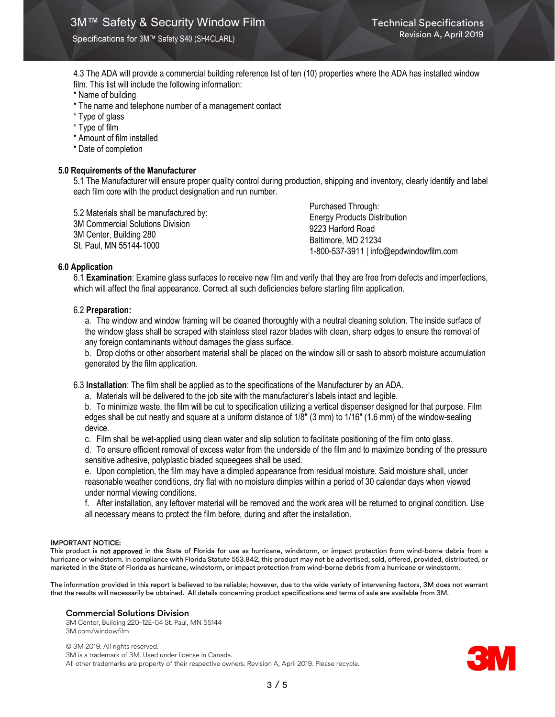Specifications for 3M™ Safety S40 (SH4CLARL)

4.3 The ADA will provide a commercial building reference list of ten (10) properties where the ADA has installed window film. This list will include the following information:

- \* Name of building
- \* The name and telephone number of a management contact
- \* Type of glass
- \* Type of film
- \* Amount of film installed
- \* Date of completion

## 5.0 Requirements of the Manufacturer

5.1 The Manufacturer will ensure proper quality control during production, shipping and inventory, clearly identify and label each film core with the product designation and run number.

5.2 Materials shall be manufactured by: 3M Commercial Solutions Division 3M Center, Building 280 St. Paul, MN 55144-1000

Purchased Through: Energy Products Distribution 9223 Harford Road Baltimore, MD 21234 1-800-537-3911 | info@epdwindowfilm.com

### 6.0 Application

6.1 Examination: Examine glass surfaces to receive new film and verify that they are free from defects and imperfections, which will affect the final appearance. Correct all such deficiencies before starting film application.

## 6.2 Preparation:

a. The window and window framing will be cleaned thoroughly with a neutral cleaning solution. The inside surface of the window glass shall be scraped with stainless steel razor blades with clean, sharp edges to ensure the removal of any foreign contaminants without damages the glass surface.

b. Drop cloths or other absorbent material shall be placed on the window sill or sash to absorb moisture accumulation generated by the film application.

6.3 Installation: The film shall be applied as to the specifications of the Manufacturer by an ADA.

a. Materials will be delivered to the job site with the manufacturer's labels intact and legible.

b. To minimize waste, the film will be cut to specification utilizing a vertical dispenser designed for that purpose. Film edges shall be cut neatly and square at a uniform distance of 1/8" (3 mm) to 1/16" (1.6 mm) of the window-sealing device.

c. Film shall be wet-applied using clean water and slip solution to facilitate positioning of the film onto glass.

d. To ensure efficient removal of excess water from the underside of the film and to maximize bonding of the pressure sensitive adhesive, polyplastic bladed squeegees shall be used.

e. Upon completion, the film may have a dimpled appearance from residual moisture. Said moisture shall, under reasonable weather conditions, dry flat with no moisture dimples within a period of 30 calendar days when viewed under normal viewing conditions.

f. After installation, any leftover material will be removed and the work area will be returned to original condition. Use all necessary means to protect the film before, during and after the installation.

#### IMPORTANT NOTICE:

This product is not approved in the State of Florida for use as hurricane, windstorm, or impact protection from wind-borne debris from a hurricane or windstorm. In compliance with Florida Statute 553.842, this product may not be advertised, sold, offered, provided, distributed, or marketed in the State of Florida as hurricane, windstorm, or impact protection from wind-borne debris from a hurricane or windstorm.

The information provided in this report is believed to be reliable; however, due to the wide variety of intervening factors, 3M does not warrant that the results will necessarily be obtained. All details concerning product specifications and terms of sale are available from 3M.

#### Commercial Solutions Division

3M Center, Building 220-12E-04 St. Paul, MN 55144 3M.com/windowfilm

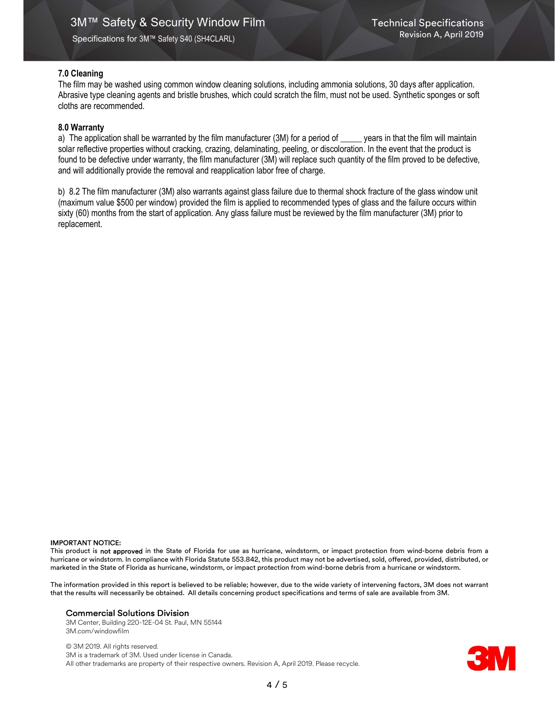## 7.0 Cleaning

The film may be washed using common window cleaning solutions, including ammonia solutions, 30 days after application. Abrasive type cleaning agents and bristle brushes, which could scratch the film, must not be used. Synthetic sponges or soft cloths are recommended.

## 8.0 Warranty

a) The application shall be warranted by the film manufacturer (3M) for a period of \_\_\_\_\_ years in that the film will maintain solar reflective properties without cracking, crazing, delaminating, peeling, or discoloration. In the event that the product is found to be defective under warranty, the film manufacturer (3M) will replace such quantity of the film proved to be defective, and will additionally provide the removal and reapplication labor free of charge.

b) 8.2 The film manufacturer (3M) also warrants against glass failure due to thermal shock fracture of the glass window unit (maximum value \$500 per window) provided the film is applied to recommended types of glass and the failure occurs within sixty (60) months from the start of application. Any glass failure must be reviewed by the film manufacturer (3M) prior to replacement.

#### IMPORTANT NOTICE:

This product is not approved in the State of Florida for use as hurricane, windstorm, or impact protection from wind-borne debris from a hurricane or windstorm. In compliance with Florida Statute 553.842, this product may not be advertised, sold, offered, provided, distributed, or marketed in the State of Florida as hurricane, windstorm, or impact protection from wind-borne debris from a hurricane or windstorm.

The information provided in this report is believed to be reliable; however, due to the wide variety of intervening factors, 3M does not warrant that the results will necessarily be obtained. All details concerning product specifications and terms of sale are available from 3M.

### Commercial Solutions Division

3M Center, Building 220-12E-04 St. Paul, MN 55144 3M.com/windowfilm